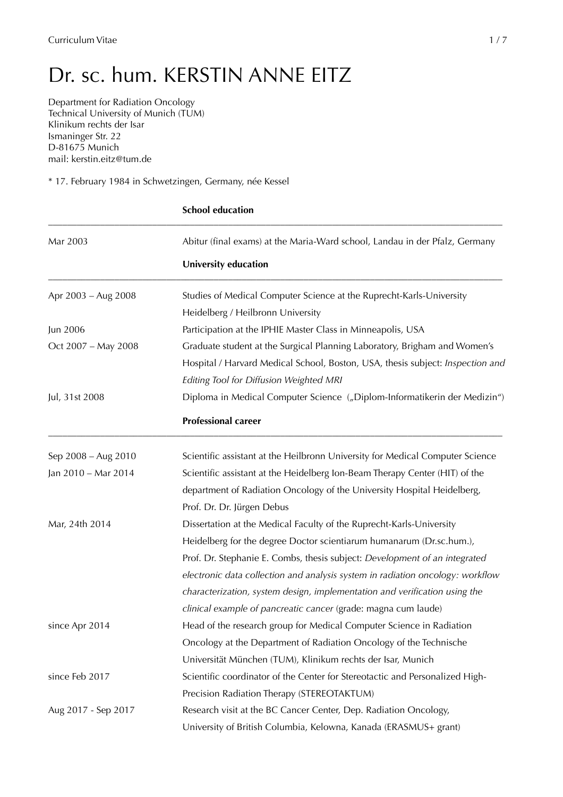# Dr. sc. hum. KERSTIN ANNE EITZ

Department for Radiation Oncology Technical University of Munich (TUM) Klinikum rechts der Isar Ismaninger Str. 22 D-81675 Munich mail: kerstin.eitz@tum.de

\* 17. February 1984 in Schwetzingen, Germany, née Kessel

| Mar 2003            | Abitur (final exams) at the Maria-Ward school, Landau in der Pfalz, Germany    |
|---------------------|--------------------------------------------------------------------------------|
|                     | University education                                                           |
| Apr 2003 - Aug 2008 | Studies of Medical Computer Science at the Ruprecht-Karls-University           |
|                     | Heidelberg / Heilbronn University                                              |
| Jun 2006            | Participation at the IPHIE Master Class in Minneapolis, USA                    |
| Oct 2007 - May 2008 | Graduate student at the Surgical Planning Laboratory, Brigham and Women's      |
|                     | Hospital / Harvard Medical School, Boston, USA, thesis subject: Inspection and |
|                     | Editing Tool for Diffusion Weighted MRI                                        |
| Jul, 31st 2008      | Diploma in Medical Computer Science ("Diplom-Informatikerin der Medizin")      |
|                     | <b>Professional career</b>                                                     |
| Sep 2008 - Aug 2010 | Scientific assistant at the Heilbronn University for Medical Computer Science  |
| Jan 2010 - Mar 2014 | Scientific assistant at the Heidelberg Ion-Beam Therapy Center (HIT) of the    |
|                     | department of Radiation Oncology of the University Hospital Heidelberg,        |
|                     | Prof. Dr. Dr. Jürgen Debus                                                     |
| Mar, 24th 2014      | Dissertation at the Medical Faculty of the Ruprecht-Karls-University           |
|                     | Heidelberg for the degree Doctor scientiarum humanarum (Dr.sc.hum.),           |
|                     | Prof. Dr. Stephanie E. Combs, thesis subject: Development of an integrated     |
|                     | electronic data collection and analysis system in radiation oncology: workflow |
|                     | characterization, system design, implementation and verification using the     |
|                     | clinical example of pancreatic cancer (grade: magna cum laude)                 |
| since Apr 2014      | Head of the research group for Medical Computer Science in Radiation           |
|                     | Oncology at the Department of Radiation Oncology of the Technische             |
|                     | Universität München (TUM), Klinikum rechts der Isar, Munich                    |
| since Feb 2017      | Scientific coordinator of the Center for Stereotactic and Personalized High-   |
|                     | Precision Radiation Therapy (STEREOTAKTUM)                                     |
| Aug 2017 - Sep 2017 | Research visit at the BC Cancer Center, Dep. Radiation Oncology,               |
|                     | University of British Columbia, Kelowna, Kanada (ERASMUS+ grant)               |

#### **School education**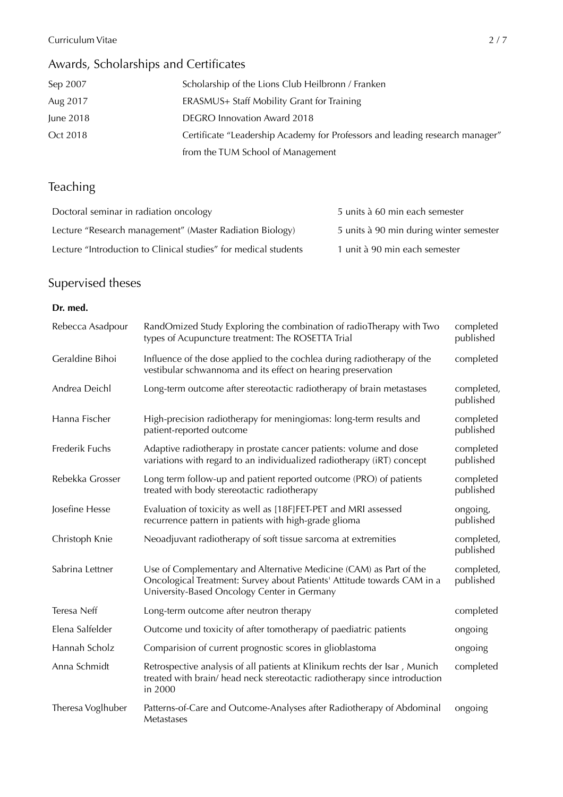### Curriculum Vitae 2 / 7

## Awards, Scholarships and Certificates

| Sep 2007  | Scholarship of the Lions Club Heilbronn / Franken                            |
|-----------|------------------------------------------------------------------------------|
| Aug 2017  | ERASMUS+ Staff Mobility Grant for Training                                   |
| June 2018 | DEGRO Innovation Award 2018                                                  |
| Oct 2018  | Certificate "Leadership Academy for Professors and leading research manager" |
|           | from the TUM School of Management                                            |

# Teaching

| Doctoral seminar in radiation oncology                          | 5 units à 60 min each semester          |
|-----------------------------------------------------------------|-----------------------------------------|
| Lecture "Research management" (Master Radiation Biology)        | 5 units à 90 min during winter semester |
| Lecture "Introduction to Clinical studies" for medical students | 1 unit à 90 min each semester           |

### Supervised theses

| Dr. med.          |                                                                                                                                                                                              |                         |
|-------------------|----------------------------------------------------------------------------------------------------------------------------------------------------------------------------------------------|-------------------------|
| Rebecca Asadpour  | RandOmized Study Exploring the combination of radioTherapy with Two<br>types of Acupuncture treatment: The ROSETTA Trial                                                                     | completed<br>published  |
| Geraldine Bihoi   | Influence of the dose applied to the cochlea during radiotherapy of the<br>vestibular schwannoma and its effect on hearing preservation                                                      | completed               |
| Andrea Deichl     | Long-term outcome after stereotactic radiotherapy of brain metastases                                                                                                                        | completed,<br>published |
| Hanna Fischer     | High-precision radiotherapy for meningiomas: long-term results and<br>patient-reported outcome                                                                                               | completed<br>published  |
| Frederik Fuchs    | Adaptive radiotherapy in prostate cancer patients: volume and dose<br>variations with regard to an individualized radiotherapy (iRT) concept                                                 | completed<br>published  |
| Rebekka Grosser   | Long term follow-up and patient reported outcome (PRO) of patients<br>treated with body stereotactic radiotherapy                                                                            | completed<br>published  |
| Josefine Hesse    | Evaluation of toxicity as well as [18F]FET-PET and MRI assessed<br>recurrence pattern in patients with high-grade glioma                                                                     | ongoing,<br>published   |
| Christoph Knie    | Neoadjuvant radiotherapy of soft tissue sarcoma at extremities                                                                                                                               | completed,<br>published |
| Sabrina Lettner   | Use of Complementary and Alternative Medicine (CAM) as Part of the<br>Oncological Treatment: Survey about Patients' Attitude towards CAM in a<br>University-Based Oncology Center in Germany | completed,<br>published |
| Teresa Neff       | Long-term outcome after neutron therapy                                                                                                                                                      | completed               |
| Elena Salfelder   | Outcome und toxicity of after tomotherapy of paediatric patients                                                                                                                             | ongoing                 |
| Hannah Scholz     | Comparision of current prognostic scores in glioblastoma                                                                                                                                     | ongoing                 |
| Anna Schmidt      | Retrospective analysis of all patients at Klinikum rechts der Isar, Munich<br>treated with brain/ head neck stereotactic radiotherapy since introduction<br>in 2000                          | completed               |
| Theresa Voglhuber | Patterns-of-Care and Outcome-Analyses after Radiotherapy of Abdominal<br>Metastases                                                                                                          | ongoing                 |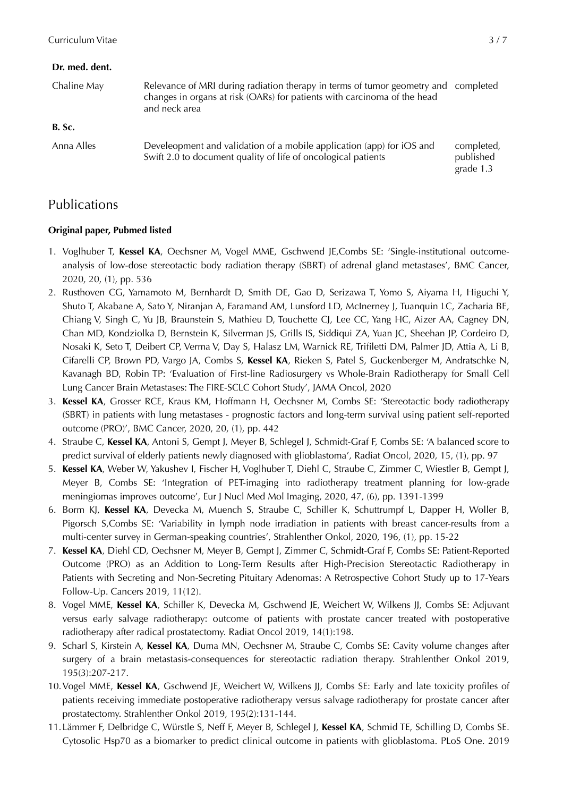| Dr. med. dent. |                                                                                                                                                                                 |                                      |
|----------------|---------------------------------------------------------------------------------------------------------------------------------------------------------------------------------|--------------------------------------|
| Chaline May    | Relevance of MRI during radiation therapy in terms of tumor geometry and completed<br>changes in organs at risk (OARs) for patients with carcinoma of the head<br>and neck area |                                      |
| <b>B.</b> Sc.  |                                                                                                                                                                                 |                                      |
| Anna Alles     | Develeopment and validation of a mobile application (app) for iOS and<br>Swift 2.0 to document quality of life of oncological patients                                          | completed,<br>published<br>grade 1.3 |

### Publications

### **Original paper, Pubmed listed**

- 1. Voglhuber T, **Kessel KA**, Oechsner M, Vogel MME, Gschwend JE,Combs SE: 'Single-institutional outcomeanalysis of low-dose stereotactic body radiation therapy (SBRT) of adrenal gland metastases', BMC Cancer, 2020, 20, (1), pp. 536
- 2. Rusthoven CG, Yamamoto M, Bernhardt D, Smith DE, Gao D, Serizawa T, Yomo S, Aiyama H, Higuchi Y, Shuto T, Akabane A, Sato Y, Niranjan A, Faramand AM, Lunsford LD, McInerney J, Tuanquin LC, Zacharia BE, Chiang V, Singh C, Yu JB, Braunstein S, Mathieu D, Touchette CJ, Lee CC, Yang HC, Aizer AA, Cagney DN, Chan MD, Kondziolka D, Bernstein K, Silverman JS, Grills IS, Siddiqui ZA, Yuan JC, Sheehan JP, Cordeiro D, Nosaki K, Seto T, Deibert CP, Verma V, Day S, Halasz LM, Warnick RE, Trifiletti DM, Palmer JD, Attia A, Li B, Cifarelli CP, Brown PD, Vargo JA, Combs S, **Kessel KA**, Rieken S, Patel S, Guckenberger M, Andratschke N, Kavanagh BD, Robin TP: 'Evaluation of First-line Radiosurgery vs Whole-Brain Radiotherapy for Small Cell Lung Cancer Brain Metastases: The FIRE-SCLC Cohort Study', JAMA Oncol, 2020
- 3. **Kessel KA**, Grosser RCE, Kraus KM, Hoffmann H, Oechsner M, Combs SE: 'Stereotactic body radiotherapy (SBRT) in patients with lung metastases - prognostic factors and long-term survival using patient self-reported outcome (PRO)', BMC Cancer, 2020, 20, (1), pp. 442
- 4. Straube C, **Kessel KA**, Antoni S, Gempt J, Meyer B, Schlegel J, Schmidt-Graf F, Combs SE: 'A balanced score to predict survival of elderly patients newly diagnosed with glioblastoma', Radiat Oncol, 2020, 15, (1), pp. 97
- 5. **Kessel KA**, Weber W, Yakushev I, Fischer H, Voglhuber T, Diehl C, Straube C, Zimmer C, Wiestler B, Gempt J, Meyer B, Combs SE: 'Integration of PET-imaging into radiotherapy treatment planning for low-grade meningiomas improves outcome', Eur J Nucl Med Mol Imaging, 2020, 47, (6), pp. 1391-1399
- 6. Borm KJ, **Kessel KA**, Devecka M, Muench S, Straube C, Schiller K, Schuttrumpf L, Dapper H, Woller B, Pigorsch S,Combs SE: 'Variability in lymph node irradiation in patients with breast cancer-results from a multi-center survey in German-speaking countries', Strahlenther Onkol, 2020, 196, (1), pp. 15-22
- 7. **Kessel KA**, Diehl CD, Oechsner M, Meyer B, Gempt J, Zimmer C, Schmidt-Graf F, Combs SE: Patient-Reported Outcome (PRO) as an Addition to Long-Term Results after High-Precision Stereotactic Radiotherapy in Patients with Secreting and Non-Secreting Pituitary Adenomas: A Retrospective Cohort Study up to 17-Years Follow-Up. Cancers 2019, 11(12).
- 8. Vogel MME, **Kessel KA**, Schiller K, Devecka M, Gschwend JE, Weichert W, Wilkens JJ, Combs SE: Adjuvant versus early salvage radiotherapy: outcome of patients with prostate cancer treated with postoperative radiotherapy after radical prostatectomy. Radiat Oncol 2019, 14(1):198.
- 9. Scharl S, Kirstein A, **Kessel KA**, Duma MN, Oechsner M, Straube C, Combs SE: Cavity volume changes after surgery of a brain metastasis-consequences for stereotactic radiation therapy. Strahlenther Onkol 2019, 195(3):207-217.
- 10.Vogel MME, **Kessel KA**, Gschwend JE, Weichert W, Wilkens JJ, Combs SE: Early and late toxicity profiles of patients receiving immediate postoperative radiotherapy versus salvage radiotherapy for prostate cancer after prostatectomy. Strahlenther Onkol 2019, 195(2):131-144.
- 11.Lämmer F, Delbridge C, Würstle S, Neff F, Meyer B, Schlegel J, **Kessel KA**, Schmid TE, Schilling D, Combs SE. Cytosolic Hsp70 as a biomarker to predict clinical outcome in patients with glioblastoma. PLoS One. 2019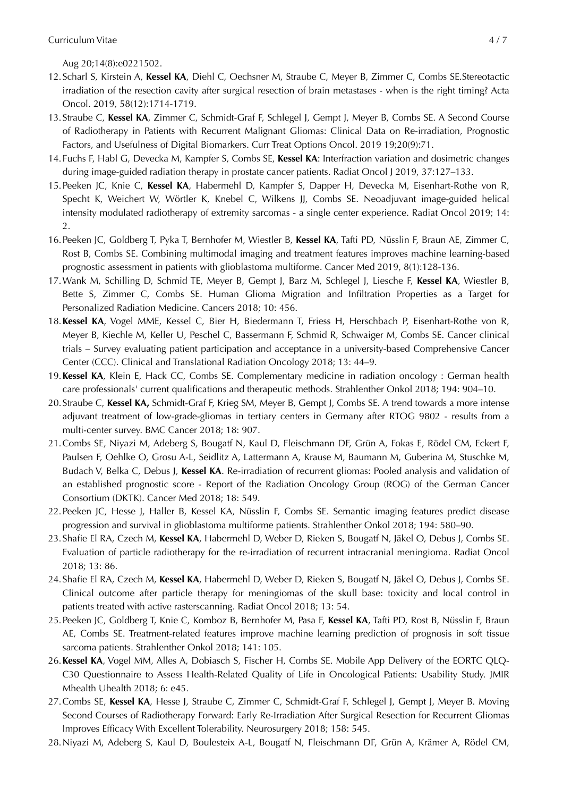Aug 20;14(8):e0221502.

- 12.Scharl S, Kirstein A, **Kessel KA**, Diehl C, Oechsner M, Straube C, Meyer B, Zimmer C, Combs SE.Stereotactic irradiation of the resection cavity after surgical resection of brain metastases - when is the right timing? Acta Oncol. 2019, 58(12):1714-1719.
- 13.Straube C, **Kessel KA**, Zimmer C, Schmidt-Graf F, Schlegel J, Gempt J, Meyer B, Combs SE. A Second Course of Radiotherapy in Patients with Recurrent Malignant Gliomas: Clinical Data on Re-irradiation, Prognostic Factors, and Usefulness of Digital Biomarkers. Curr Treat Options Oncol. 2019 19;20(9):71.
- 14.Fuchs F, Habl G, Devecka M, Kampfer S, Combs SE, **Kessel KA**: Interfraction variation and dosimetric changes during image-guided radiation therapy in prostate cancer patients. Radiat Oncol J 2019, 37:127–133.
- 15.Peeken JC, Knie C, **Kessel KA**, Habermehl D, Kampfer S, Dapper H, Devecka M, Eisenhart-Rothe von R, Specht K, Weichert W, Wörtler K, Knebel C, Wilkens JJ, Combs SE. Neoadjuvant image-guided helical intensity modulated radiotherapy of extremity sarcomas - a single center experience. Radiat Oncol 2019; 14:  $2<sub>1</sub>$
- 16.Peeken JC, Goldberg T, Pyka T, Bernhofer M, Wiestler B, **Kessel KA**, Tafti PD, Nüsslin F, Braun AE, Zimmer C, Rost B, Combs SE. Combining multimodal imaging and treatment features improves machine learning-based prognostic assessment in patients with glioblastoma multiforme. Cancer Med 2019, 8(1):128-136.
- 17.Wank M, Schilling D, Schmid TE, Meyer B, Gempt J, Barz M, Schlegel J, Liesche F, **Kessel KA**, Wiestler B, Bette S, Zimmer C, Combs SE. Human Glioma Migration and Infiltration Properties as a Target for Personalized Radiation Medicine. Cancers 2018; 10: 456.
- 18.**Kessel KA**, Vogel MME, Kessel C, Bier H, Biedermann T, Friess H, Herschbach P, Eisenhart-Rothe von R, Meyer B, Kiechle M, Keller U, Peschel C, Bassermann F, Schmid R, Schwaiger M, Combs SE. Cancer clinical trials – Survey evaluating patient participation and acceptance in a university-based Comprehensive Cancer Center (CCC). Clinical and Translational Radiation Oncology 2018; 13: 44–9.
- 19.**Kessel KA**, Klein E, Hack CC, Combs SE. Complementary medicine in radiation oncology : German health care professionals' current qualifications and therapeutic methods. Strahlenther Onkol 2018; 194: 904–10.
- 20.Straube C, **Kessel KA,** Schmidt-Graf F, Krieg SM, Meyer B, Gempt J, Combs SE. A trend towards a more intense adjuvant treatment of low-grade-gliomas in tertiary centers in Germany after RTOG 9802 - results from a multi-center survey. BMC Cancer 2018; 18: 907.
- 21.Combs SE, Niyazi M, Adeberg S, Bougatf N, Kaul D, Fleischmann DF, Grün A, Fokas E, Rödel CM, Eckert F, Paulsen F, Oehlke O, Grosu A-L, Seidlitz A, Lattermann A, Krause M, Baumann M, Guberina M, Stuschke M, Budach V, Belka C, Debus J, **Kessel KA**. Re-irradiation of recurrent gliomas: Pooled analysis and validation of an established prognostic score - Report of the Radiation Oncology Group (ROG) of the German Cancer Consortium (DKTK). Cancer Med 2018; 18: 549.
- 22.Peeken JC, Hesse J, Haller B, Kessel KA, Nüsslin F, Combs SE. Semantic imaging features predict disease progression and survival in glioblastoma multiforme patients. Strahlenther Onkol 2018; 194: 580–90.
- 23.Shafie El RA, Czech M, **Kessel KA**, Habermehl D, Weber D, Rieken S, Bougatf N, Jäkel O, Debus J, Combs SE. Evaluation of particle radiotherapy for the re-irradiation of recurrent intracranial meningioma. Radiat Oncol 2018; 13: 86.
- 24.Shafie El RA, Czech M, **Kessel KA**, Habermehl D, Weber D, Rieken S, Bougatf N, Jäkel O, Debus J, Combs SE. Clinical outcome after particle therapy for meningiomas of the skull base: toxicity and local control in patients treated with active rasterscanning. Radiat Oncol 2018; 13: 54.
- 25.Peeken JC, Goldberg T, Knie C, Komboz B, Bernhofer M, Pasa F, **Kessel KA**, Tafti PD, Rost B, Nüsslin F, Braun AE, Combs SE. Treatment-related features improve machine learning prediction of prognosis in soft tissue sarcoma patients. Strahlenther Onkol 2018; 141: 105.
- 26.**Kessel KA**, Vogel MM, Alles A, Dobiasch S, Fischer H, Combs SE. Mobile App Delivery of the EORTC QLQ-C30 Questionnaire to Assess Health-Related Quality of Life in Oncological Patients: Usability Study. JMIR Mhealth Uhealth 2018; 6: e45.
- 27.Combs SE, **Kessel KA**, Hesse J, Straube C, Zimmer C, Schmidt-Graf F, Schlegel J, Gempt J, Meyer B. Moving Second Courses of Radiotherapy Forward: Early Re-Irradiation After Surgical Resection for Recurrent Gliomas Improves Efficacy With Excellent Tolerability. Neurosurgery 2018; 158: 545.
- 28.Niyazi M, Adeberg S, Kaul D, Boulesteix A-L, Bougatf N, Fleischmann DF, Grün A, Krämer A, Rödel CM,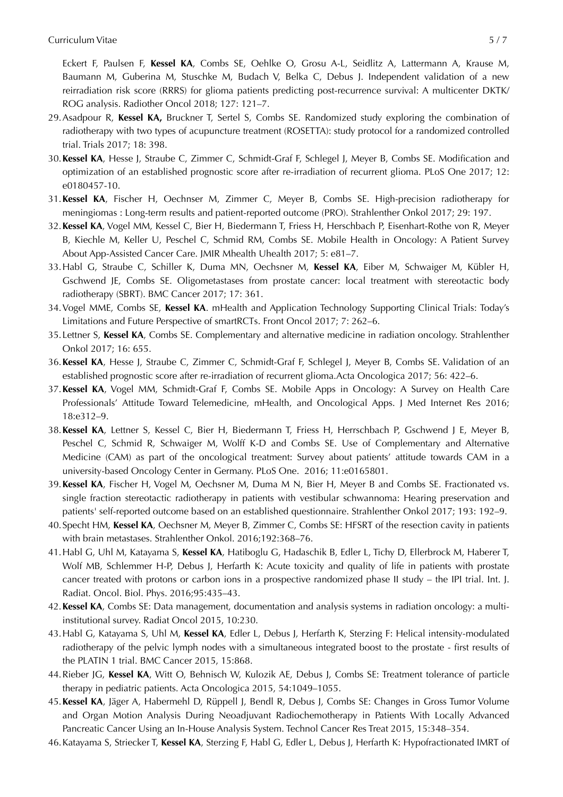Eckert F, Paulsen F, **Kessel KA**, Combs SE, Oehlke O, Grosu A-L, Seidlitz A, Lattermann A, Krause M, Baumann M, Guberina M, Stuschke M, Budach V, Belka C, Debus J. Independent validation of a new reirradiation risk score (RRRS) for glioma patients predicting post-recurrence survival: A multicenter DKTK/ ROG analysis. Radiother Oncol 2018; 127: 121–7.

- 29.Asadpour R, **Kessel KA,** Bruckner T, Sertel S, Combs SE. Randomized study exploring the combination of radiotherapy with two types of acupuncture treatment (ROSETTA): study protocol for a randomized controlled trial. Trials 2017; 18: 398.
- 30.**Kessel KA**, Hesse J, Straube C, Zimmer C, Schmidt-Graf F, Schlegel J, Meyer B, Combs SE. Modification and optimization of an established prognostic score after re-irradiation of recurrent glioma. PLoS One 2017; 12: e0180457-10.
- 31.**Kessel KA**, Fischer H, Oechnser M, Zimmer C, Meyer B, Combs SE. High-precision radiotherapy for meningiomas : Long-term results and patient-reported outcome (PRO). Strahlenther Onkol 2017; 29: 197.
- 32.**Kessel KA**, Vogel MM, Kessel C, Bier H, Biedermann T, Friess H, Herschbach P, Eisenhart-Rothe von R, Meyer B, Kiechle M, Keller U, Peschel C, Schmid RM, Combs SE. Mobile Health in Oncology: A Patient Survey About App-Assisted Cancer Care. JMIR Mhealth Uhealth 2017; 5: e81–7.
- 33.Habl G, Straube C, Schiller K, Duma MN, Oechsner M, **Kessel KA**, Eiber M, Schwaiger M, Kübler H, Gschwend JE, Combs SE. Oligometastases from prostate cancer: local treatment with stereotactic body radiotherapy (SBRT). BMC Cancer 2017; 17: 361.
- 34.Vogel MME, Combs SE, **Kessel KA**. mHealth and Application Technology Supporting Clinical Trials: Today's Limitations and Future Perspective of smartRCTs. Front Oncol 2017; 7: 262–6.
- 35.Lettner S, **Kessel KA**, Combs SE. Complementary and alternative medicine in radiation oncology. Strahlenther Onkol 2017; 16: 655.
- 36.**Kessel KA**, Hesse J, Straube C, Zimmer C, Schmidt-Graf F, Schlegel J, Meyer B, Combs SE. Validation of an established prognostic score after re-irradiation of recurrent glioma.Acta Oncologica 2017; 56: 422–6.
- 37.**Kessel KA**, Vogel MM, Schmidt-Graf F, Combs SE. Mobile Apps in Oncology: A Survey on Health Care Professionals' Attitude Toward Telemedicine, mHealth, and Oncological Apps. J Med Internet Res 2016; 18:e312–9.
- 38.**Kessel KA**, Lettner S, Kessel C, Bier H, Biedermann T, Friess H, Herrschbach P, Gschwend J E, Meyer B, Peschel C, Schmid R, Schwaiger M, Wolff K-D and Combs SE. Use of Complementary and Alternative Medicine (CAM) as part of the oncological treatment: Survey about patients' attitude towards CAM in a university-based Oncology Center in Germany. PLoS One. 2016; 11:e0165801.
- 39.**Kessel KA**, Fischer H, Vogel M, Oechsner M, Duma M N, Bier H, Meyer B and Combs SE. Fractionated vs. single fraction stereotactic radiotherapy in patients with vestibular schwannoma: Hearing preservation and patients' self-reported outcome based on an established questionnaire. Strahlenther Onkol 2017; 193: 192–9.
- 40.Specht HM, **Kessel KA**, Oechsner M, Meyer B, Zimmer C, Combs SE: HFSRT of the resection cavity in patients with brain metastases. Strahlenther Onkol. 2016;192:368–76.
- 41.Habl G, Uhl M, Katayama S, **Kessel KA**, Hatiboglu G, Hadaschik B, Edler L, Tichy D, Ellerbrock M, Haberer T, Wolf MB, Schlemmer H-P, Debus J, Herfarth K: Acute toxicity and quality of life in patients with prostate cancer treated with protons or carbon ions in a prospective randomized phase II study – the IPI trial. Int. J. Radiat. Oncol. Biol. Phys. 2016;95:435–43.
- 42.**Kessel KA**, Combs SE: Data management, documentation and analysis systems in radiation oncology: a multiinstitutional survey. Radiat Oncol 2015, 10:230.
- 43.Habl G, Katayama S, Uhl M, **Kessel KA**, Edler L, Debus J, Herfarth K, Sterzing F: Helical intensity-modulated radiotherapy of the pelvic lymph nodes with a simultaneous integrated boost to the prostate - first results of the PLATIN 1 trial. BMC Cancer 2015, 15:868.
- 44.Rieber JG, **Kessel KA**, Witt O, Behnisch W, Kulozik AE, Debus J, Combs SE: Treatment tolerance of particle therapy in pediatric patients. Acta Oncologica 2015, 54:1049–1055.
- 45.**Kessel KA**, Jäger A, Habermehl D, Rüppell J, Bendl R, Debus J, Combs SE: Changes in Gross Tumor Volume and Organ Motion Analysis During Neoadjuvant Radiochemotherapy in Patients With Locally Advanced Pancreatic Cancer Using an In-House Analysis System. Technol Cancer Res Treat 2015, 15:348–354.
- 46.Katayama S, Striecker T, **Kessel KA**, Sterzing F, Habl G, Edler L, Debus J, Herfarth K: Hypofractionated IMRT of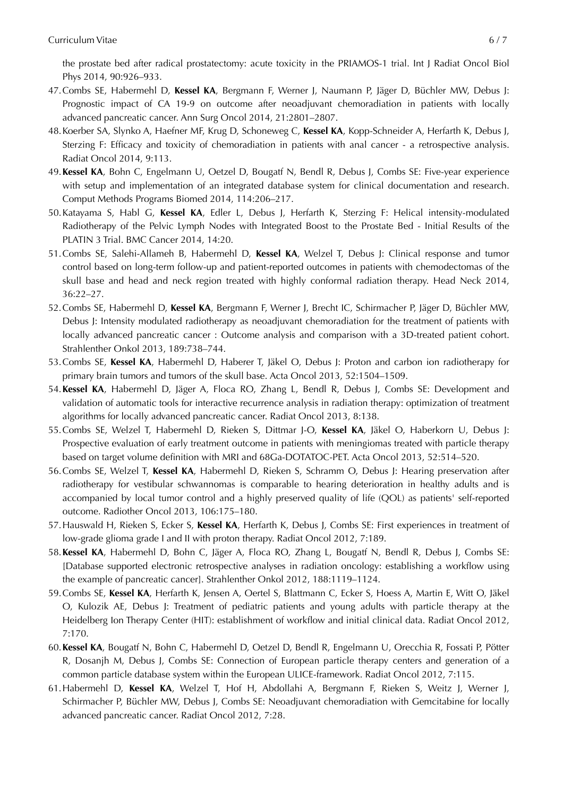the prostate bed after radical prostatectomy: acute toxicity in the PRIAMOS-1 trial. Int J Radiat Oncol Biol Phys 2014, 90:926–933.

- 47.Combs SE, Habermehl D, **Kessel KA**, Bergmann F, Werner J, Naumann P, Jäger D, Büchler MW, Debus J: Prognostic impact of CA 19-9 on outcome after neoadjuvant chemoradiation in patients with locally advanced pancreatic cancer. Ann Surg Oncol 2014, 21:2801–2807.
- 48.Koerber SA, Slynko A, Haefner MF, Krug D, Schoneweg C, **Kessel KA**, Kopp-Schneider A, Herfarth K, Debus J, Sterzing F: Efficacy and toxicity of chemoradiation in patients with anal cancer - a retrospective analysis. Radiat Oncol 2014, 9:113.
- 49.**Kessel KA**, Bohn C, Engelmann U, Oetzel D, Bougatf N, Bendl R, Debus J, Combs SE: Five-year experience with setup and implementation of an integrated database system for clinical documentation and research. Comput Methods Programs Biomed 2014, 114:206–217.
- 50.Katayama S, Habl G, **Kessel KA**, Edler L, Debus J, Herfarth K, Sterzing F: Helical intensity-modulated Radiotherapy of the Pelvic Lymph Nodes with Integrated Boost to the Prostate Bed - Initial Results of the PLATIN 3 Trial. BMC Cancer 2014, 14:20.
- 51.Combs SE, Salehi-Allameh B, Habermehl D, **Kessel KA**, Welzel T, Debus J: Clinical response and tumor control based on long-term follow-up and patient-reported outcomes in patients with chemodectomas of the skull base and head and neck region treated with highly conformal radiation therapy. Head Neck 2014, 36:22–27.
- 52.Combs SE, Habermehl D, **Kessel KA**, Bergmann F, Werner J, Brecht IC, Schirmacher P, Jäger D, Büchler MW, Debus J: Intensity modulated radiotherapy as neoadjuvant chemoradiation for the treatment of patients with locally advanced pancreatic cancer : Outcome analysis and comparison with a 3D-treated patient cohort. Strahlenther Onkol 2013, 189:738–744.
- 53.Combs SE, **Kessel KA**, Habermehl D, Haberer T, Jäkel O, Debus J: Proton and carbon ion radiotherapy for primary brain tumors and tumors of the skull base. Acta Oncol 2013, 52:1504–1509.
- 54.**Kessel KA**, Habermehl D, Jäger A, Floca RO, Zhang L, Bendl R, Debus J, Combs SE: Development and validation of automatic tools for interactive recurrence analysis in radiation therapy: optimization of treatment algorithms for locally advanced pancreatic cancer. Radiat Oncol 2013, 8:138.
- 55.Combs SE, Welzel T, Habermehl D, Rieken S, Dittmar J-O, **Kessel KA**, Jäkel O, Haberkorn U, Debus J: Prospective evaluation of early treatment outcome in patients with meningiomas treated with particle therapy based on target volume definition with MRI and 68Ga-DOTATOC-PET. Acta Oncol 2013, 52:514–520.
- 56.Combs SE, Welzel T, **Kessel KA**, Habermehl D, Rieken S, Schramm O, Debus J: Hearing preservation after radiotherapy for vestibular schwannomas is comparable to hearing deterioration in healthy adults and is accompanied by local tumor control and a highly preserved quality of life (QOL) as patients' self-reported outcome. Radiother Oncol 2013, 106:175–180.
- 57.Hauswald H, Rieken S, Ecker S, **Kessel KA**, Herfarth K, Debus J, Combs SE: First experiences in treatment of low-grade glioma grade I and II with proton therapy. Radiat Oncol 2012, 7:189.
- 58.**Kessel KA**, Habermehl D, Bohn C, Jäger A, Floca RO, Zhang L, Bougatf N, Bendl R, Debus J, Combs SE: [Database supported electronic retrospective analyses in radiation oncology: establishing a workflow using the example of pancreatic cancer]. Strahlenther Onkol 2012, 188:1119–1124.
- 59.Combs SE, **Kessel KA**, Herfarth K, Jensen A, Oertel S, Blattmann C, Ecker S, Hoess A, Martin E, Witt O, Jäkel O, Kulozik AE, Debus J: Treatment of pediatric patients and young adults with particle therapy at the Heidelberg Ion Therapy Center (HIT): establishment of workflow and initial clinical data. Radiat Oncol 2012, 7:170.
- 60.**Kessel KA**, Bougatf N, Bohn C, Habermehl D, Oetzel D, Bendl R, Engelmann U, Orecchia R, Fossati P, Pötter R, Dosanjh M, Debus J, Combs SE: Connection of European particle therapy centers and generation of a common particle database system within the European ULICE-framework. Radiat Oncol 2012, 7:115.
- 61.Habermehl D, **Kessel KA**, Welzel T, Hof H, Abdollahi A, Bergmann F, Rieken S, Weitz J, Werner J, Schirmacher P, Büchler MW, Debus J, Combs SE: Neoadjuvant chemoradiation with Gemcitabine for locally advanced pancreatic cancer. Radiat Oncol 2012, 7:28.